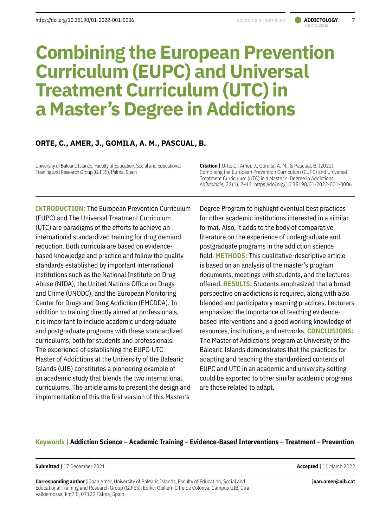# ADIKTOLOGIE

# **Combining the European Prevention Curriculum (EUPC) and Universal Treatment Curriculum (UTC) in a Master's Degree in Addictions**

## **ORTE, C., AMER, J., GOMILA, A. M., PASCUAL, B.**

University of Balearic Islands, Faculty of Education, Social and Educational Training and Research Group (GIFES), Palma, Spain

**Citation |** Orte, C., Amer, J., Gomila, A. M., & Pascual, B. (2022). Combining the European Prevention Curriculum (EUPC) and Universal Treatment Curriculum (UTC) in a Master's Degree in Addictions. A*diktologie, 22*(1), 7–12. https://doi.org/10.35198/01-2022-001-0006

**INTRODUCTION:** The European Prevention Curriculum (EUPC) and The Universal Treatment Curriculum (UTC) are paradigms of the efforts to achieve an international standardized training for drug demand reduction. Both curricula are based on evidencebased knowledge and practice and follow the quality standards established by important international institutions such as the National Institute on Drug Abuse (NIDA), the United Nations Office on Drugs and Crime (UNODC), and the European Monitoring Center for Drugs and Drug Addiction (EMCDDA). In addition to training directly aimed at professionals, it is important to include academic undergraduate and postgraduate programs with these standardized curriculums, both for students and professionals. The experience of establishing the EUPC-UTC Master of Addictions at the University of the Balearic Islands (UIB) constitutes a pioneering example of an academic study that blends the two international curriculums. The article aims to present the design and implementation of this the first version of this Master's

Degree Program to highlight eventual best practices for other academic institutions interested in a similar format. Also, it adds to the body of comparative literature on the experience of undergraduate and postgraduate programs in the addiction science field. **METHODS:** This qualitative-descriptive article is based on an analysis of the master's program documents, meetings with students, and the lectures offered. **RESULTS:** Students emphasized that a broad perspective on addictions is required, along with also blended and participatory learning practices. Lecturers emphasized the importance of teaching evidencebased interventions and a good working knowledge of resources, institutions, and networks. **CONCLUSIONS:** The Master of Addictions program at University of the Balearic Islands demonstrates that the practices for adapting and teaching the standardized contents of EUPC and UTC in an academic and university setting could be exported to other similar academic programs are those related to adapt.

## **Keywords | Addiction Science – Academic Training – Evidence-Based Interventions – Treatment – Prevention**

**Submitted |** 17 December 2021 **Accepted |** 11 March 2022

**Corresponding author |** Joan Amer, University of Balearic Islands, Faculty of Education, Social and Educational Training and Research Group (GIFES), Edifici Guillem Cifre de Colonya. Campus UIB. Ctra. Valldemossa, km7,5, 07122 Palma, Spain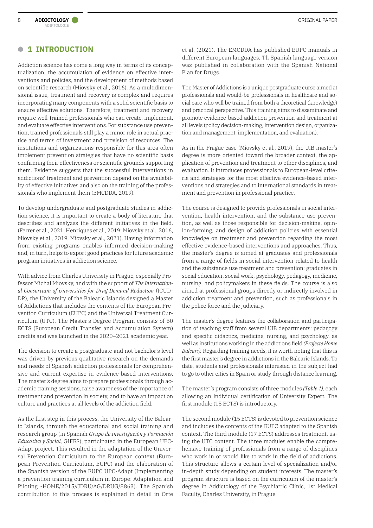## **B 1 INTRODUCTION**

Addiction science has come a long way in terms of its conceptualization, the accumulation of evidence on effective interventions and policies, and the development of methods based on scientific research (Miovsky et al., 2016). As a multidimensional issue, treatment and recovery is complex and requires incorporating many components with a solid scientific basis to ensure effective solutions. Therefore, treatment and recovery require well-trained professionals who can create, implement, and evaluate effective interventions. For substance use prevention, trained professionals still play a minor role in actual practice and terms of investment and provision of resources. The institutions and organizations responsible for this area often implement prevention strategies that have no scientific basis confirming their effectiveness or scientific grounds supporting them. Evidence suggests that the successful interventions in addictions' treatment and prevention depend on the availability of effective initiatives and also on the training of the professionals who implement them (EMCDDA, 2019).

To develop undergraduate and postgraduate studies in addiction science, it is important to create a body of literature that describes and analyzes the different initiatives in the field. (Ferrer et al., 2021; Henriques et al., 2019; Miovsky et al., 2016, Miovsky et al., 2019, Miovsky et al., 2021). Having information from existing programs enables informed decision-making and, in turn, helps to export good practices for future academic program initiatives in addiction science.

With advice from Charles University in Prague, especially Professor Michal Miovsky, and with the support of *The International Consortium of Universities for Drug Demand Reduction* (ICUD-DR), the University of the Balearic Islands designed a Master of Addictions that includes the contents of the European Prevention Curriculum (EUPC) and the Universal Treatment Curriculum (UTC). The Master's Degree Program consists of 60 ECTS (European Credit Transfer and Accumulation System) credits and was launched in the 2020–2021 academic year.

The decision to create a postgraduate and not bachelor's level was driven by previous qualitative research on the demands and needs of Spanish addiction professionals for comprehensive and current expertise in evidence-based interventions. The master's degree aims to prepare professionals through academic training sessions, raise awareness of the importance of treatment and prevention in society, and to have an impact on culture and practices at all levels of the addiction field.

As the first step in this process, the University of the Balearic Islands, through the educational and social training and research group (in Spanish *Grupo de Investigación y Formación Educativa y Social,* GIFES), participated in the European UPC-Adapt project. This resulted in the adaptation of the Universal Prevention Curriculum to the European context (European Prevention Curriculum, EUPC) and the elaboration of the Spanish version of the EUPC UPC-Adapt (Implementing a prevention training curriculum in Europe: Adaptation and Piloting -HOME/2015//JDRU/AG/DRUG/8863). The Spanish contribution to this process is explained in detail in Orte

et al. (2021). The EMCDDA has published EUPC manuals in different European languages. Th Spanish language version was published in collaboration with the Spanish National Plan for Drugs.

The Master of Addictions is a unique postgraduate curse aimed at professionals and would-be professionals in healthcare and social care who will be trained from both a theoretical (knowledge) and practical perspective. This training aims to disseminate and promote evidence-based addiction prevention and treatment at all levels (policy decision-making, intervention design, organization and management, implementation, and evaluation).

As in the Prague case (Miovsky et al., 2019), the UIB master's degree is more oriented toward the broader context, the application of prevention and treatment to other disciplines, and evaluation. It introduces professionals to European-level criteria and strategies for the most effective evidence-based interventions and strategies and to international standards in treatment and prevention in professional practice.

The course is designed to provide professionals in social intervention, health intervention, and the substance use prevention, as well as those responsible for decision-making, opinion-forming, and design of addiction policies with essential knowledge on treatment and prevention regarding the most effective evidence-based interventions and approaches. Thus, the master's degree is aimed at graduates and professionals from a range of fields in social intervention related to health and the substance use treatment and prevention: graduates in social education, social work, psychology, pedagogy, medicine, nursing, and policymakers in these fields. The course is also aimed at professional groups directly or indirectly involved in addiction treatment and prevention, such as professionals in the police force and the judiciary.

The master's degree features the collaboration and participation of teaching staff from several UIB departments: pedagogy and specific didactics, medicine, nursing, and psychology, as well as institutions working in the addictions field *(Projecte Home Balears).* Regarding training needs, it is worth noting that this is the first master's degree in addictions in the Balearic Islands. To date, students and professionals interested in the subject had to go to other cities in Spain or study through distance learning.

The master's program consists of three modules *(Table 1),* each allowing an individual certification of University Expert. The first module (15 ECTS) is introductory.

The second module (15 ECTS) is devoted to prevention science and includes the contents of the EUPC adapted to the Spanish context. The third module (17 ECTS) addresses treatment, using the UTC content. The three modules enable the comprehensive training of professionals from a range of disciplines who work in or would like to work in the field of addictions. This structure allows a certain level of specialization and/or in-depth study depending on student interests. The master's program structure is based on the curriculum of the master's degree in Addictology of the Psychiatric Clinic, 1st Medical Faculty, Charles University, in Prague.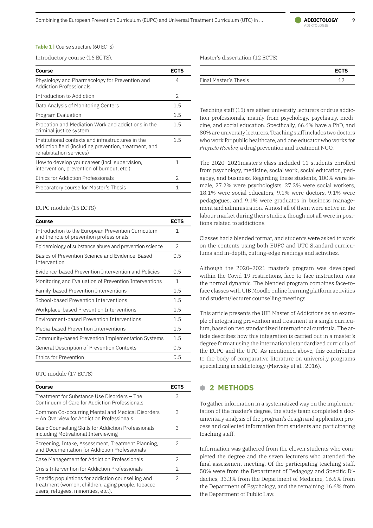Combining the European Prevention Curriculum (EUPC) and Universal Treatment Curriculum (UTC) in ... **ADDICTOLOGY** 9

#### **Table 1 | Course structure (60 ECTS)**

Introductory course (16 ECTS).

| Physiology and Pharmacology for Prevention and<br>4<br><b>Addiction Professionals</b><br>Introduction to Addiction<br>2<br>Data Analysis of Monitoring Centers<br>1.5<br>Program Evaluation<br>1.5<br>Probation and Mediation Work and addictions in the<br>1.5<br>criminal justice system | <b>ECTS</b> |
|--------------------------------------------------------------------------------------------------------------------------------------------------------------------------------------------------------------------------------------------------------------------------------------------|-------------|
|                                                                                                                                                                                                                                                                                            |             |
|                                                                                                                                                                                                                                                                                            |             |
|                                                                                                                                                                                                                                                                                            |             |
|                                                                                                                                                                                                                                                                                            |             |
|                                                                                                                                                                                                                                                                                            |             |
| Institutional contexts and infrastructures in the<br>1.5<br>addiction field (including prevention, treatment, and<br>rehabilitation services)                                                                                                                                              |             |
| How to develop your career (incl. supervision,<br>1<br>intervention, prevention of burnout, etc.)                                                                                                                                                                                          |             |
| Ethics for Addiction Professionals<br>2                                                                                                                                                                                                                                                    |             |
| Preparatory course for Master's Thesis<br>1                                                                                                                                                                                                                                                |             |

#### EUPC module (15 ECTS)

| Course                                                                                         | <b>ECTS</b> |
|------------------------------------------------------------------------------------------------|-------------|
| Introduction to the European Prevention Curriculum<br>and the role of prevention professionals | 1           |
| Epidemiology of substance abuse and prevention science                                         | 2           |
| Basics of Prevention Science and Evidence-Based<br><b>Intervention</b>                         | 0.5         |
| Evidence-based Prevention Intervention and Policies                                            | 0.5         |
| Monitoring and Evaluation of Prevention Interventions                                          | 1           |
| Family-based Prevention Interventions                                                          | 1.5         |
| School-based Prevention Interventions                                                          | 1.5         |
| Workplace-based Prevention Interventions                                                       |             |
| Environment-based Prevention Interventions                                                     | 1.5         |
| Media-based Prevention Interventions                                                           | 1.5         |
| Community-based Prevention Implementation Systems                                              | 1.5         |
| General Description of Prevention Contexts                                                     | 0.5         |
| Ethics for Prevention                                                                          | 0.5         |

UTC module (17 ECTS)

| Course                                                                                                                                         | <b>ECTS</b> |
|------------------------------------------------------------------------------------------------------------------------------------------------|-------------|
| Treatment for Substance Use Disorders - The<br>Continuum of Care for Addiction Professionals                                                   | 3           |
| Common Co-occurring Mental and Medical Disorders<br>- An Overview for Addiction Professionals                                                  | 3           |
| Basic Counselling Skills for Addiction Professionals<br>including Motivational Interviewing                                                    | 3           |
| Screening, Intake, Assessment, Treatment Planning,<br>and Documentation for Addiction Professionals                                            | 2           |
| Case Management for Addiction Professionals                                                                                                    | 2           |
| Crisis Intervention for Addiction Professionals                                                                                                | 2           |
| Specific populations for addiction counselling and<br>treatment (women, children, aging people, tobacco<br>users, refugees, minorities, etc.). | 2           |

Master's dissertation (12 ECTS)

|                       | <b>ECTS</b> |
|-----------------------|-------------|
| Final Master's Thesis |             |

Teaching staff (15) are either university lecturers or drug addiction professionals, mainly from psychology, psychiatry, medicine, and social education. Specifically, 66.6% have a PhD, and 80% are university lecturers. Teaching staff includes two doctors who work for public healthcare, and one educator who works for *Proyecto Hombre,* a drug prevention and treatment NGO.

The 2020–2021master's class included 11 students enrolled from psychology, medicine, social work, social education, pedagogy, and business. Regarding these students, 100% were female, 27.2% were psychologists, 27.2% were social workers, 18.1% were social educators, 9.1% were doctors, 9.1% were pedagogues, and 9.1% were graduates in business management and administration. Almost all of them were active in the labour market during their studies, though not all were in positions related to addictions.

Classes had a blended format, and students were asked to work on the contents using both EUPC and UTC Standard curriculums and in-depth, cutting-edge readings and activities.

Although the 2020–2021 master's program was developed within the Covid-19 restrictions, face-to-face instruction was the normal dynamic. The blended program combines face-toface classes with UIB Moodle online learning platform activities and student/lecturer counselling meetings.

This article presents the UIB Master of Addictions as an example of integrating prevention and treatment in a single curriculum, based on two standardized international curricula. The article describes how this integration is carried out in a master's degree format using the international standardized curricula of the EUPC and the UTC. As mentioned above, this contributes to the body of comparative literature on university programs specializing in addictology (Miovsky et al., 2016).

### **B 2 METHODS**

To gather information in a systematized way on the implementation of the master's degree, the study team completed a documentary analysis of the program's design and application process and collected information from students and participating teaching staff.

Information was gathered from the eleven students who completed the degree and the seven lecturers who attended the final assessment meeting. Of the participating teaching staff, 50% were from the Department of Pedagogy and Specific Didactics, 33.3% from the Department of Medicine, 16.6% from the Department of Psychology, and the remaining 16.6% from the Department of Public Law.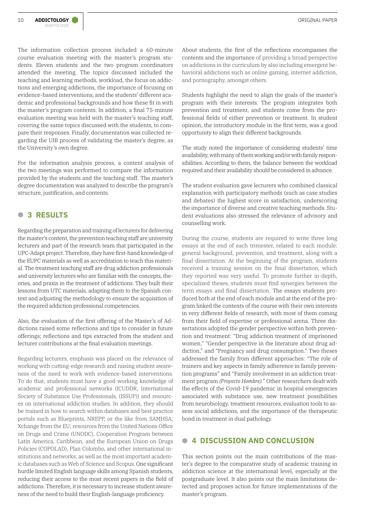The information collection process included a 60-minute course evaluation meeting with the master's program students. Eleven students and the two program coordinators attended the meeting. The topics discussed included the teaching and learning methods, workload, the focus on addictions and emerging addictions, the importance of focusing on evidence-based interventions, and the students' different academic and professional backgrounds and how these fit in with the master's program contents. In addition, a final 75-minute evaluation meeting was held with the master's teaching staff, covering the same topics discussed with the students, to compare their responses. Finally, documentation was collected regarding the UIB process of validating the master's degree, as the University's own degree.

For the information analysis process, a content analysis of the two meetings was performed to compare the information provided by the students and the teaching staff. The master's degree documentation was analyzed to describe the program's structure, justification, and contents.

## **B 3 RESULTS**

Regarding the preparation and training of lecturers for delivering the master's content, the prevention teaching staff are university lecturers and part of the research team that participated in the UPC-Adapt project. Therefore, they have first-hand knowledge of the EUPC materials as well as accreditation to teach this material. The treatment teaching staff are drug addiction professionals and university lecturers who are familiar with the concepts, theories, and praxis in the treatment of addictions. They built their lessons from UTC materials, adapting them to the Spanish context and adjusting the methodology to ensure the acquisition of the required addiction professional competencies.

Also, the evaluation of the first offering of the Master's of Addictions raised some reflections and tips to consider in future offerings; reflections and tips extracted from the student and lecturer contributions at the final evaluation meetings.

Regarding lecturers, emphasis was placed on the relevance of working with cutting-edge research and raising student awareness of the need to work with evidence-based interventions. To do that, students must have a good working knowledge of academic and professional networks (ICUDDR, International Society of Substance Use Professionals, (ISSUP)) and resources on international addiction studies. In addition, they should be trained in how to search within databases and best practice portals such as Blueprints, NREPP, or the like from SAMHSA; Xchange from the EU; resources from the United Nations Office on Drugs and Crime (UNODC), Cooperation Program between Latin America, Caribbean, and the European Union on Drugs Policies (COPOLAD), Plan Colombo, and other international institutions and networks; as well as the most important academic databases such as Web of Science and Scopus. One significant hurdle limited English language skills among Spanish students, reducing their access to the most recent papers in the field of addictions. Therefore, it is necessary to increase student awareness of the need to build their English-language proficiency.

About students, the first of the reflections encompasses the contents and the importance of providing a broad perspective on addictions in the curriculum by also including emergent behavioral addictions such as online gaming, internet addiction, and pornography, amongst others.

Students highlight the need to align the goals of the master's program with their interests. The program integrates both prevention and treatment, and students come from the professional fields of either prevention or treatment. In student opinion, the introductory module in the first term, was a good opportunity to align their different backgrounds.

The study noted the importance of considering students' time availability, with many of them working and/or with family responsibilities. According to them, the balance between the workload required and their availability should be considered in advance.

The student evaluation gave lecturers who combined classical explanation with participatory methods (such as case studies and debates) the highest score in satisfaction, underscoring the importance of diverse and creative teaching methods. Student evaluations also stressed the relevance of advisory and counselling work.

During the course, students are required to write three long essays at the end of each trimester, related to each module: general background, prevention, and treatment, along with a final dissertation. At the beginning of the program, students received a training session on the final dissertation, which they reported was very useful. To promote further in-depth, specialized theses, students must find synergies between the term essays and final dissertation. The essays students produced both at the end of each module and at the end of the program linked the contents of the course with their own interests in very different fields of research, with most of them coming from their field of expertise or professional arena. Three dissertations adopted the gender perspective within both prevention and treatment: "Drug addiction treatment of imprisoned women," "Gender perspective in the literature about drug addiction," and "Pregnancy and drug consumption." Two theses addressed the family from different approaches: "The role of trainers and key aspects in family adherence in family prevention programs" and "Family involvement in an addiction treatment program *(Proyecto Hombre).*" Other researchers dealt with the effects of the Covid-19 pandemic in hospital emergencies associated with substance use, new treatment possibilities from neurobiology, treatment resources, evaluation tools to assess social addictions, and the importance of the therapeutic bond in treatment in dual pathology.

## **B 4 DISCUSSION AND CONCLUSION**

This section points out the main contributions of the master's degree to the comparative study of academic training in addiction science at the international level, especially at the postgraduate level. It also points out the main limitations detected and proposes action for future implementations of the master's program.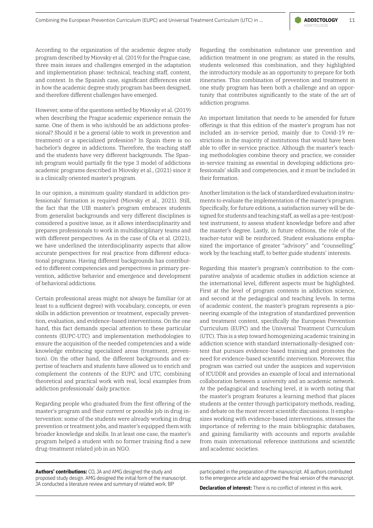According to the organization of the academic degree study program described by Miovsky et al. (2019) for the Prague case, three main issues and challenges emerged in the adaptation and implementation phase: technical, teaching staff, content, and context. In the Spanish case, significant differences exist in how the academic degree study program has been designed, and therefore different challenges have emerged.

However, some of the questions settled by Miovsky et al. (2019) when describing the Prague academic experience remain the same. One of them is who is/should be an addictions professional? Should it be a general (able to work in prevention and treatment) or a specialized profession? In Spain there is no bachelor's degree in addictions. Therefore, the teaching staff and the students have very different backgrounds. The Spanish program would partially fit the type 3 model of addictions academic programs described in Miovsky et al., (2021) since it is a clinically oriented master's program.

In our opinion, a minimum quality standard in addiction professionals' formation is required (Miovsky et al., 2021). Still, the fact that the UIB master's program embraces students from generalist backgrounds and very different disciplines is considered a positive issue, as it allows interdisciplinarity and prepares professionals to work in multidisciplinary teams and with different perspectives. As in the case of Ola et al. (2021), we have underlined the interdisciplinarity aspects that allow accurate perspectives for real practice from different educational programs. Having different backgrounds has contributed to different competencies and perspectives in primary prevention, addictive behavior and emergence and development of behavioral addictions.

Certain professional areas might not always be familiar (or at least to a sufficient degree) with vocabulary, concepts, or even skills in addiction prevention or treatment, especially prevention, evaluation, and evidence-based interventions. On the one hand, this fact demands special attention to these particular contents (EUPC-UTC) and implementation methodologies to ensure the acquisition of the needed competencies and a wide knowledge embracing specialized areas (treatment, prevention). On the other hand, the different backgrounds and expertise of teachers and students have allowed us to enrich and complement the contents of the EUPC and UTC, combining theoretical and practical work with real, local examples from addiction professionals' daily practice.

Regarding people who graduated from the first offering of the master's program and their current or possible job in drug intervention: some of the students were already working in drug prevention or treatment jobs, and master's equipped them with broader knowledge and skills. In at least one case, the master's program helped a student with no former training find a new drug-treatment related job in an NGO.

Regarding the combination substance use prevention and addiction treatment in one program: as stated in the results, students welcomed this combination, and they highlighted the introductory module as an opportunity to prepare for both itineraries. This combination of prevention and treatment in one study program has been both a challenge and an opportunity that contributes significantly to the state of the art of addiction programs.

An important limitation that needs to be amended for future offerings is that this edition of the master's program has not included an in-service period, mainly due to Covid-19 restrictions in the majority of institutions that would have been able to offer in-service practice. Although the master's teaching methodologies combine theory and practice, we consider in-service training as essential in developing addictions professionals' skills and competencies, and it must be included in their formation.

Another limitation is the lack of standardized evaluation instruments to evaluate the implementation of the master's program. Specifically, for future editions, a satisfaction survey will be designed for students and teaching staff, as well as a pre-test/posttest instrument, to assess student knowledge before and after the master's degree. Lastly, in future editions, the role of the teacher-tutor will be reinforced. Student evaluations emphasized the importance of greater "advisory" and "counselling" work by the teaching staff, to better guide students' interests.

Regarding this master's program's contribution to the comparative analysis of academic studies in addiction science at the international level, different aspects must be highlighted. First at the level of program contents in addiction science, and second at the pedagogical and teaching levels. In terms of academic content, the master's program represents a pioneering example of the integration of standardized prevention and treatment content, specifically the European Prevention Curriculum (EUPC) and the Universal Treatment Curriculum (UTC). This is a step toward homogenizing academic training in addiction science with standard internationally-designed content that pursues evidence-based training and promotes the need for evidence-based scientific intervention. Moreover, this program was carried out under the auspices and supervision of ICUDDR and provides an example of local and international collaboration between a university and an academic network. At the pedagogical and teaching level, it is worth noting that the master's program features a learning method that places students at the center through participatory methods, reading, and debate on the most recent scientific discussions. It emphasizes working with evidence-based interventions, stresses the importance of referring to the main bibliographic databases, and gaining familiarity with accounts and reports available from main international reference institutions and scientific and academic societies.

**Authors' contributions:** CO, JA and AMG designed the study and proposed study design. AMG designed the initial form of the manuscript. JA conducted a literature review and summary of related work. BP

participated in the preparation of the manuscript. All authors contributed to the emergence article and approved the final version of the manuscript.

**Declaration of interest:** There is no conflict of interest in this work.